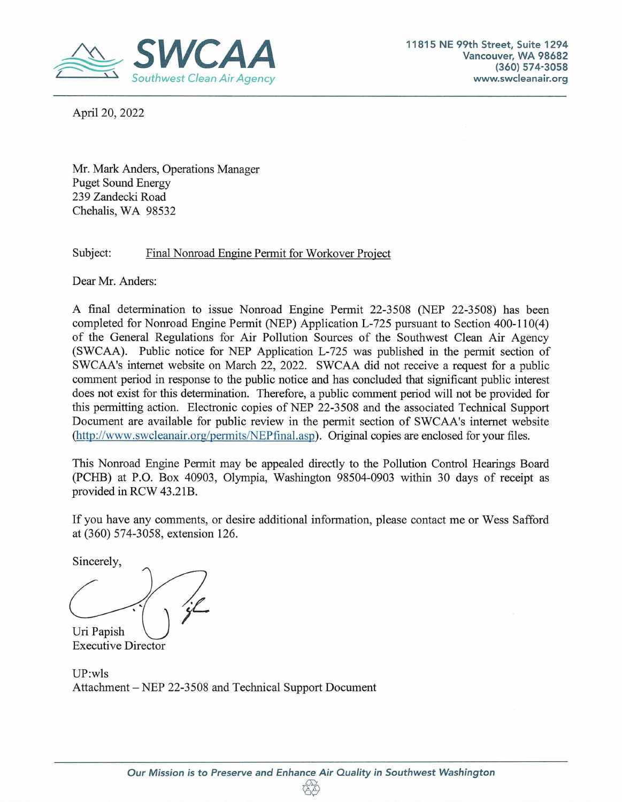

April 20, 2022

Mr. Mark Anders, Operations Manager Puget Sound Energy 239 Zandecki Road Chehalis, WA *98532* 

#### Subject: Final Nonroad Engine Permit for Workover Project

Dear Mr. Anders:

A final determination to issue Nonroad Engine Permit 22-3 *508* (NEP 22-3 *508)* has been completed for Nonroad Engine Permit (NEP) Application L-725 pursuant to Section 400-110(4) of the General Regulations for Air Pollution Sources of the Southwest Clean Air Agency (SWCAA). Public notice for NEP Application *L-725* was published in the permit section of SWCAA's internet website on March 22, 2022. SWCAA did not receive a request for a public comment period in response to the public notice and has concluded that significant public interest does not exist for this determination. Therefore, a public comment period will not be provided for this permitting action. Electronic copies of NEP 22-3 *508* and the associated Technical Support Document are available for public review in the permit section of SWCAA's internet website (http://www.swcleanair.org/permits/NEPfinal.asp). Original copies are enclosed for your files.

This Nonroad Engine Permit may be appealed directly to the Pollution Control Hearings Board (PCHB) at P.O. Box 40903, Olympia, Washington 98504-0903 within 30 days of receipt as provided in RCW 43.2 lB.

If you have any comments, or desire additional information, please contact me or Wess Safford at (360) *574-3058,* extension 126.

Sincerely,

Uri Papish

Executive Director

UP:wls Attachment — NEP 22-3508 and Technical Support Document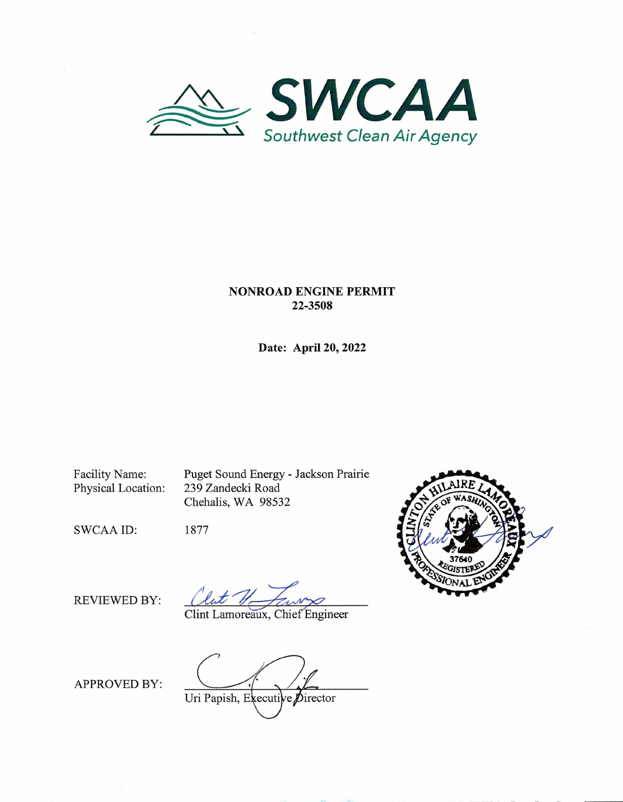

#### **NONROAD ENGINE PERMIT 22-3508**

**Date: April 20,** 2022

Facility Name: Puget Sound Energy - Jackson Prairie<br>Physical Location: 239 Zandecki Road 239 Zandecki Road Chehalis, WA 98532





REVIEWED BY:

 $\frac{1}{2}$ 

Clint Lamoreaux, Chief Engineer

APPROVED BY:

Uri Papish, Executive Director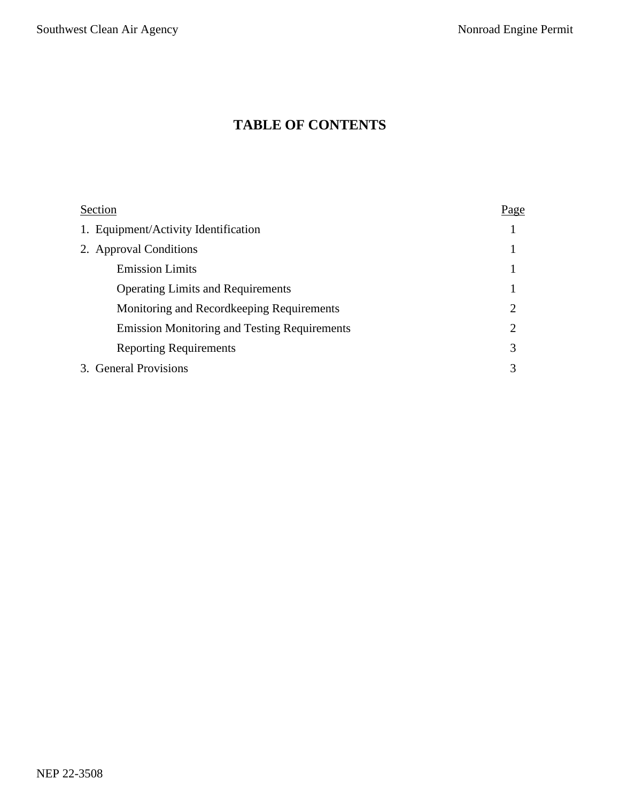# **TABLE OF CONTENTS**

| Section                                             | Page |
|-----------------------------------------------------|------|
| 1. Equipment/Activity Identification                |      |
| 2. Approval Conditions                              |      |
| <b>Emission Limits</b>                              |      |
| <b>Operating Limits and Requirements</b>            |      |
| Monitoring and Record keeping Requirements          | 2    |
| <b>Emission Monitoring and Testing Requirements</b> | 2    |
| <b>Reporting Requirements</b>                       | 3    |
| 3. General Provisions                               | 3    |
|                                                     |      |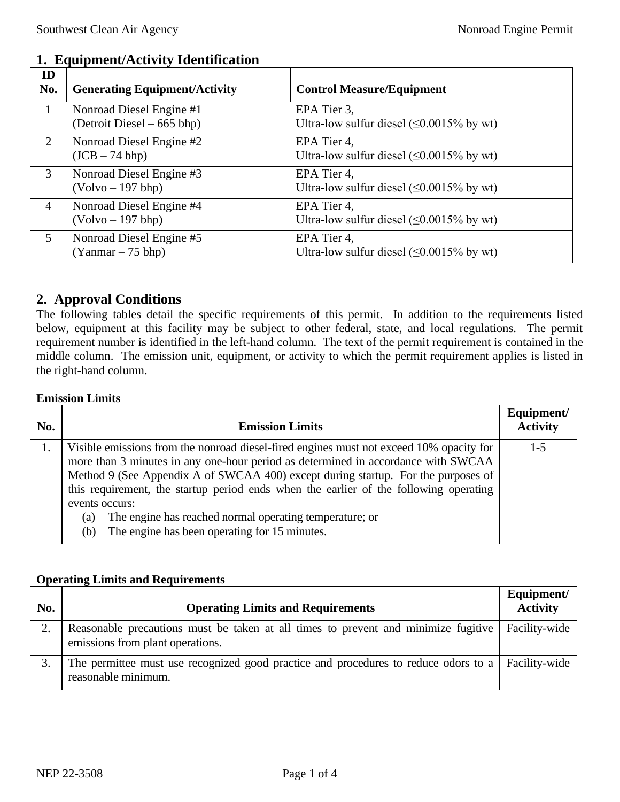| ID<br>No.      | <b>Generating Equipment/Activity</b>                    | <b>Control Measure/Equipment</b>                                |
|----------------|---------------------------------------------------------|-----------------------------------------------------------------|
| $\mathbf{1}$   | Nonroad Diesel Engine #1<br>(Detroit Diesel $-665$ bhp) | EPA Tier 3,<br>Ultra-low sulfur diesel $(\leq 0.0015\%$ by wt)  |
| 2              | Nonroad Diesel Engine #2<br>(JCB – 74 bhp)              | EPA Tier 4,<br>Ultra-low sulfur diesel $( \leq 0.0015\%$ by wt) |
| 3              | Nonroad Diesel Engine #3<br>(Volvo – 197 bhp)           | EPA Tier 4,<br>Ultra-low sulfur diesel $(\leq 0.0015\%$ by wt)  |
| $\overline{4}$ | Nonroad Diesel Engine #4<br>$(Volvo - 197 bhp)$         | EPA Tier 4,<br>Ultra-low sulfur diesel $(\leq 0.0015\%$ by wt)  |
| 5              | Nonroad Diesel Engine #5<br>$(Yanmar - 75 bhp)$         | EPA Tier 4,<br>Ultra-low sulfur diesel $(\leq 0.0015\%$ by wt)  |

# **1. Equipment/Activity Identification**

## **2. Approval Conditions**

The following tables detail the specific requirements of this permit. In addition to the requirements listed below, equipment at this facility may be subject to other federal, state, and local regulations. The permit requirement number is identified in the left-hand column. The text of the permit requirement is contained in the middle column. The emission unit, equipment, or activity to which the permit requirement applies is listed in the right-hand column.

#### **Emission Limits**

| No. | <b>Emission Limits</b>                                                                                                                                                       | Equipment/<br><b>Activity</b> |
|-----|------------------------------------------------------------------------------------------------------------------------------------------------------------------------------|-------------------------------|
| 1.  | Visible emissions from the nonroad diesel-fired engines must not exceed 10% opacity for<br>more than 3 minutes in any one-hour period as determined in accordance with SWCAA | $1 - 5$                       |
|     | Method 9 (See Appendix A of SWCAA 400) except during startup. For the purposes of                                                                                            |                               |
|     | this requirement, the startup period ends when the earlier of the following operating                                                                                        |                               |
|     | events occurs:                                                                                                                                                               |                               |
|     | The engine has reached normal operating temperature; or<br>(a)                                                                                                               |                               |
|     | The engine has been operating for 15 minutes.<br>(b)                                                                                                                         |                               |

#### **Operating Limits and Requirements**

| No. | <b>Operating Limits and Requirements</b>                                                                                         | Equipment/<br><b>Activity</b> |
|-----|----------------------------------------------------------------------------------------------------------------------------------|-------------------------------|
|     | Reasonable precautions must be taken at all times to prevent and minimize fugitive<br>emissions from plant operations.           | Facility-wide                 |
|     | The permittee must use recognized good practice and procedures to reduce odors to a $\vert$ Facility-wide<br>reasonable minimum. |                               |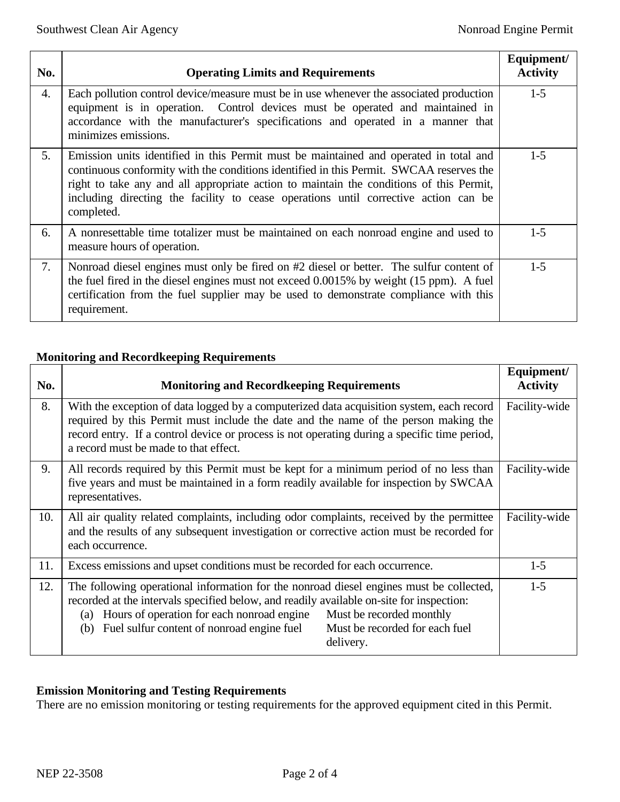| No. | <b>Operating Limits and Requirements</b>                                                                                                                                                                                                                                                                                                                                         | Equipment/<br><b>Activity</b> |
|-----|----------------------------------------------------------------------------------------------------------------------------------------------------------------------------------------------------------------------------------------------------------------------------------------------------------------------------------------------------------------------------------|-------------------------------|
| 4.  | Each pollution control device/measure must be in use whenever the associated production<br>equipment is in operation. Control devices must be operated and maintained in<br>accordance with the manufacturer's specifications and operated in a manner that<br>minimizes emissions.                                                                                              | $1 - 5$                       |
| 5.  | Emission units identified in this Permit must be maintained and operated in total and<br>continuous conformity with the conditions identified in this Permit. SWCAA reserves the<br>right to take any and all appropriate action to maintain the conditions of this Permit,<br>including directing the facility to cease operations until corrective action can be<br>completed. | $1-5$                         |
| 6.  | A nonresettable time totalizer must be maintained on each nonroad engine and used to<br>measure hours of operation.                                                                                                                                                                                                                                                              | $1-5$                         |
| 7.  | Nonroad diesel engines must only be fired on #2 diesel or better. The sulfur content of<br>the fuel fired in the diesel engines must not exceed 0.0015% by weight (15 ppm). A fuel<br>certification from the fuel supplier may be used to demonstrate compliance with this<br>requirement.                                                                                       | $1 - 5$                       |

### **Monitoring and Recordkeeping Requirements**

| No. | <b>Monitoring and Recordkeeping Requirements</b>                                                                                                                                                                                                                                                                                                                         | Equipment/<br><b>Activity</b> |
|-----|--------------------------------------------------------------------------------------------------------------------------------------------------------------------------------------------------------------------------------------------------------------------------------------------------------------------------------------------------------------------------|-------------------------------|
| 8.  | With the exception of data logged by a computerized data acquisition system, each record<br>required by this Permit must include the date and the name of the person making the<br>record entry. If a control device or process is not operating during a specific time period,<br>a record must be made to that effect.                                                 | Facility-wide                 |
| 9.  | All records required by this Permit must be kept for a minimum period of no less than<br>five years and must be maintained in a form readily available for inspection by SWCAA<br>representatives.                                                                                                                                                                       | Facility-wide                 |
| 10. | All air quality related complaints, including odor complaints, received by the permittee<br>and the results of any subsequent investigation or corrective action must be recorded for<br>each occurrence.                                                                                                                                                                | Facility-wide                 |
| 11. | Excess emissions and upset conditions must be recorded for each occurrence.                                                                                                                                                                                                                                                                                              | $1-5$                         |
| 12. | The following operational information for the nonroad diesel engines must be collected,<br>recorded at the intervals specified below, and readily available on-site for inspection:<br>Hours of operation for each nonroad engine<br>Must be recorded monthly<br>(a)<br>Fuel sulfur content of nonroad engine fuel<br>Must be recorded for each fuel<br>(b)<br>delivery. | $1-5$                         |

### **Emission Monitoring and Testing Requirements**

There are no emission monitoring or testing requirements for the approved equipment cited in this Permit.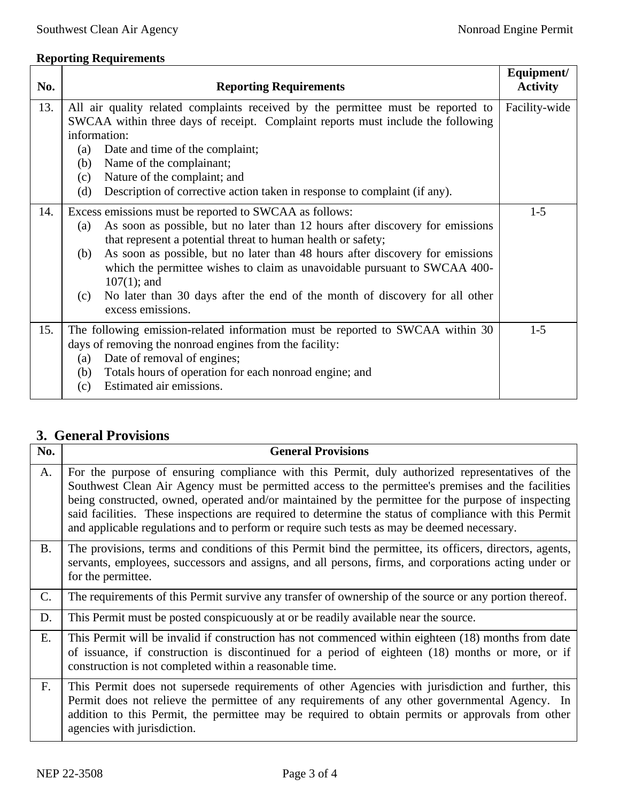## **Reporting Requirements**

| No. | <b>Reporting Requirements</b>                                                                                                                                                                                                                                                                                                                                                                                                                                                                                    | Equipment/<br><b>Activity</b> |
|-----|------------------------------------------------------------------------------------------------------------------------------------------------------------------------------------------------------------------------------------------------------------------------------------------------------------------------------------------------------------------------------------------------------------------------------------------------------------------------------------------------------------------|-------------------------------|
| 13. | All air quality related complaints received by the permittee must be reported to<br>SWCAA within three days of receipt. Complaint reports must include the following<br>information:<br>Date and time of the complaint;<br>(a)<br>Name of the complainant;<br>(b)<br>Nature of the complaint; and<br>(c)<br>Description of corrective action taken in response to complaint (if any).<br>(d)                                                                                                                     | Facility-wide                 |
| 14. | Excess emissions must be reported to SWCAA as follows:<br>As soon as possible, but no later than 12 hours after discovery for emissions<br>(a)<br>that represent a potential threat to human health or safety;<br>As soon as possible, but no later than 48 hours after discovery for emissions<br>(b)<br>which the permittee wishes to claim as unavoidable pursuant to SWCAA 400-<br>$107(1)$ ; and<br>No later than 30 days after the end of the month of discovery for all other<br>(c)<br>excess emissions. | $1 - 5$                       |
| 15. | The following emission-related information must be reported to SWCAA within 30<br>days of removing the nonroad engines from the facility:<br>Date of removal of engines;<br>(a)<br>Totals hours of operation for each nonroad engine; and<br>(b)<br>Estimated air emissions.<br>(c)                                                                                                                                                                                                                              | $1 - 5$                       |

## **3. General Provisions**

| No.            | <b>General Provisions</b>                                                                                                                                                                                                                                                                                                                                                                                                                                                                                             |
|----------------|-----------------------------------------------------------------------------------------------------------------------------------------------------------------------------------------------------------------------------------------------------------------------------------------------------------------------------------------------------------------------------------------------------------------------------------------------------------------------------------------------------------------------|
| A.             | For the purpose of ensuring compliance with this Permit, duly authorized representatives of the<br>Southwest Clean Air Agency must be permitted access to the permittee's premises and the facilities<br>being constructed, owned, operated and/or maintained by the permittee for the purpose of inspecting<br>said facilities. These inspections are required to determine the status of compliance with this Permit<br>and applicable regulations and to perform or require such tests as may be deemed necessary. |
| <b>B.</b>      | The provisions, terms and conditions of this Permit bind the permittee, its officers, directors, agents,<br>servants, employees, successors and assigns, and all persons, firms, and corporations acting under or<br>for the permittee.                                                                                                                                                                                                                                                                               |
| $\mathsf{C}$ . | The requirements of this Permit survive any transfer of ownership of the source or any portion thereof.                                                                                                                                                                                                                                                                                                                                                                                                               |
| D.             | This Permit must be posted conspicuously at or be readily available near the source.                                                                                                                                                                                                                                                                                                                                                                                                                                  |
| E.             | This Permit will be invalid if construction has not commenced within eighteen (18) months from date<br>of issuance, if construction is discontinued for a period of eighteen (18) months or more, or if<br>construction is not completed within a reasonable time.                                                                                                                                                                                                                                                    |
| F.             | This Permit does not supersede requirements of other Agencies with jurisdiction and further, this<br>Permit does not relieve the permittee of any requirements of any other governmental Agency. In<br>addition to this Permit, the permittee may be required to obtain permits or approvals from other<br>agencies with jurisdiction.                                                                                                                                                                                |